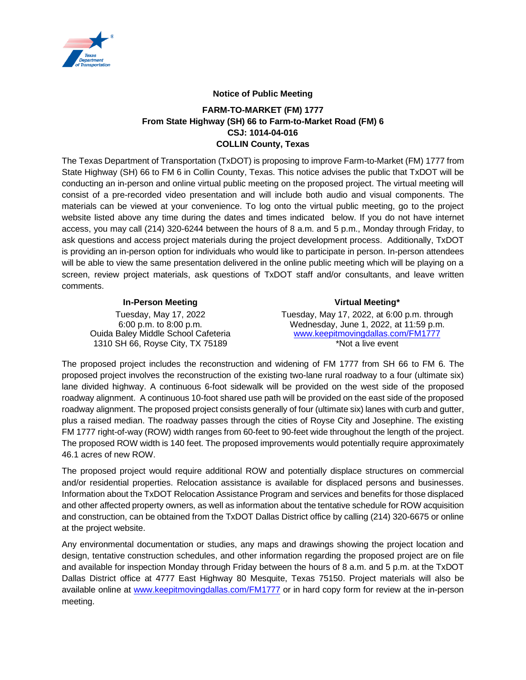

## **Notice of Public Meeting**

## **FARM-TO-MARKET (FM) 1777 From State Highway (SH) 66 to Farm-to-Market Road (FM) 6 CSJ: 1014-04-016 COLLIN County, Texas**

The Texas Department of Transportation (TxDOT) is proposing to improve Farm-to-Market (FM) 1777 from State Highway (SH) 66 to FM 6 in Collin County, Texas. This notice advises the public that TxDOT will be conducting an in-person and online virtual public meeting on the proposed project. The virtual meeting will consist of a pre-recorded video presentation and will include both audio and visual components. The materials can be viewed at your convenience. To log onto the virtual public meeting, go to the project website listed above any time during the dates and times indicated below. If you do not have internet access, you may call (214) 320-6244 between the hours of 8 a.m. and 5 p.m., Monday through Friday, to ask questions and access project materials during the project development process. Additionally, TxDOT is providing an in-person option for individuals who would like to participate in person. In-person attendees will be able to view the same presentation delivered in the online public meeting which will be playing on a screen, review project materials, ask questions of TxDOT staff and/or consultants, and leave written comments.

## **In-Person Meeting Virtual Meeting\*** Tuesday, May 17, 2022 6:00 p.m. to 8:00 p.m. Tuesday, May 17, 2022, at 6:00 p.m. through Wednesday, June 1, 2022, at 11:59 p.m. Ouida Baley Middle School Cafeteria 1310 SH 66, Royse City, TX 75189 [www.keepitmovingdallas.com/FM1777](http://www.keepitmovingdallas.com/FM1777) \*Not a live event

The proposed project includes the reconstruction and widening of FM 1777 from SH 66 to FM 6. The proposed project involves the reconstruction of the existing two-lane rural roadway to a four (ultimate six) lane divided highway. A continuous 6-foot sidewalk will be provided on the west side of the proposed roadway alignment. A continuous 10-foot shared use path will be provided on the east side of the proposed roadway alignment. The proposed project consists generally of four (ultimate six) lanes with curb and gutter, plus a raised median. The roadway passes through the cities of Royse City and Josephine. The existing FM 1777 right-of-way (ROW) width ranges from 60-feet to 90-feet wide throughout the length of the project. The proposed ROW width is 140 feet. The proposed improvements would potentially require approximately 46.1 acres of new ROW.

The proposed project would require additional ROW and potentially displace structures on commercial and/or residential properties. Relocation assistance is available for displaced persons and businesses. Information about the TxDOT Relocation Assistance Program and services and benefits for those displaced and other affected property owners, as well as information about the tentative schedule for ROW acquisition and construction, can be obtained from the TxDOT Dallas District office by calling (214) 320-6675 or online at the project website.

Any environmental documentation or studies, any maps and drawings showing the project location and design, tentative construction schedules, and other information regarding the proposed project are on file and available for inspection Monday through Friday between the hours of 8 a.m. and 5 p.m. at the TxDOT Dallas District office at 4777 East Highway 80 Mesquite, Texas 75150. Project materials will also be available online at [www.keepitmovingdallas.com/](http://www.keepitmovingdallas.com/)FM1777 or in hard copy form for review at the in-person meeting.